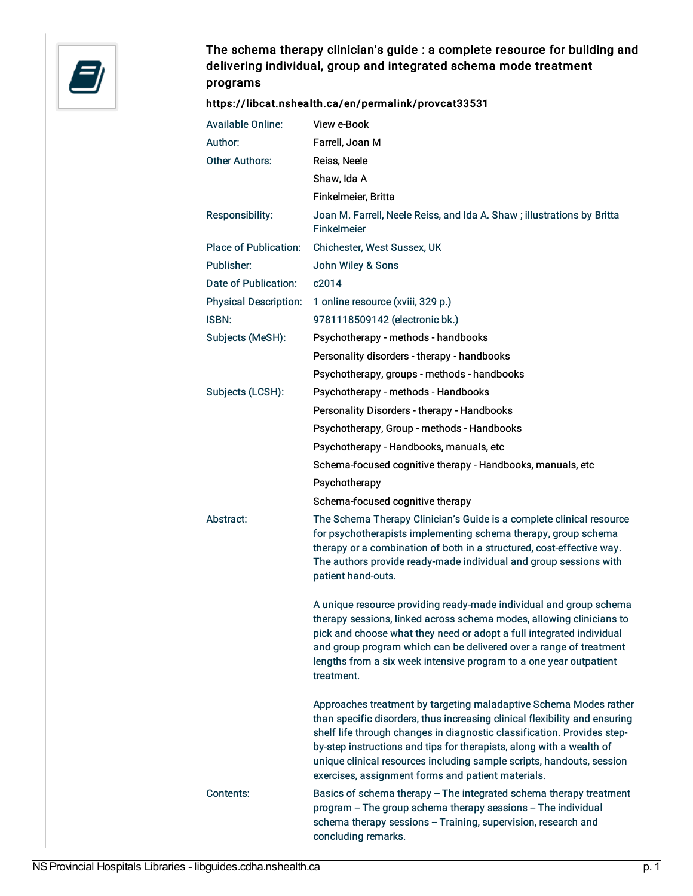

## The schema therapy clinician's guide : a complete resource for building and delivering individual, group and integrated schema mode treatment programs

## <https://libcat.nshealth.ca/en/permalink/provcat33531>

| <b>Available Online:</b>     | View e-Book                                                                                                                                                                                                                                                                                                                                                                                                                       |
|------------------------------|-----------------------------------------------------------------------------------------------------------------------------------------------------------------------------------------------------------------------------------------------------------------------------------------------------------------------------------------------------------------------------------------------------------------------------------|
| Author:                      | Farrell, Joan M                                                                                                                                                                                                                                                                                                                                                                                                                   |
| <b>Other Authors:</b>        | Reiss, Neele                                                                                                                                                                                                                                                                                                                                                                                                                      |
|                              | Shaw, Ida A                                                                                                                                                                                                                                                                                                                                                                                                                       |
|                              | Finkelmeier, Britta                                                                                                                                                                                                                                                                                                                                                                                                               |
| Responsibility:              | Joan M. Farrell, Neele Reiss, and Ida A. Shaw; illustrations by Britta<br><b>Finkelmeier</b>                                                                                                                                                                                                                                                                                                                                      |
| <b>Place of Publication:</b> | Chichester, West Sussex, UK                                                                                                                                                                                                                                                                                                                                                                                                       |
| Publisher:                   | John Wiley & Sons                                                                                                                                                                                                                                                                                                                                                                                                                 |
| Date of Publication:         | c2014                                                                                                                                                                                                                                                                                                                                                                                                                             |
| <b>Physical Description:</b> | 1 online resource (xviii, 329 p.)                                                                                                                                                                                                                                                                                                                                                                                                 |
| <b>ISBN:</b>                 | 9781118509142 (electronic bk.)                                                                                                                                                                                                                                                                                                                                                                                                    |
| Subjects (MeSH):             | Psychotherapy - methods - handbooks                                                                                                                                                                                                                                                                                                                                                                                               |
|                              | Personality disorders - therapy - handbooks                                                                                                                                                                                                                                                                                                                                                                                       |
|                              | Psychotherapy, groups - methods - handbooks                                                                                                                                                                                                                                                                                                                                                                                       |
| Subjects (LCSH):             | Psychotherapy - methods - Handbooks                                                                                                                                                                                                                                                                                                                                                                                               |
|                              | Personality Disorders - therapy - Handbooks                                                                                                                                                                                                                                                                                                                                                                                       |
|                              | Psychotherapy, Group - methods - Handbooks                                                                                                                                                                                                                                                                                                                                                                                        |
|                              | Psychotherapy - Handbooks, manuals, etc                                                                                                                                                                                                                                                                                                                                                                                           |
|                              | Schema-focused cognitive therapy - Handbooks, manuals, etc                                                                                                                                                                                                                                                                                                                                                                        |
|                              | Psychotherapy                                                                                                                                                                                                                                                                                                                                                                                                                     |
|                              | Schema-focused cognitive therapy                                                                                                                                                                                                                                                                                                                                                                                                  |
| Abstract:                    | The Schema Therapy Clinician's Guide is a complete clinical resource<br>for psychotherapists implementing schema therapy, group schema<br>therapy or a combination of both in a structured, cost-effective way.<br>The authors provide ready-made individual and group sessions with<br>patient hand-outs.                                                                                                                        |
|                              | A unique resource providing ready-made individual and group schema<br>therapy sessions, linked across schema modes, allowing clinicians to<br>pick and choose what they need or adopt a full integrated individual<br>and group program which can be delivered over a range of treatment<br>lengths from a six week intensive program to a one year outpatient<br>treatment.                                                      |
| Contents:                    | Approaches treatment by targeting maladaptive Schema Modes rather<br>than specific disorders, thus increasing clinical flexibility and ensuring<br>shelf life through changes in diagnostic classification. Provides step-<br>by-step instructions and tips for therapists, along with a wealth of<br>unique clinical resources including sample scripts, handouts, session<br>exercises, assignment forms and patient materials. |
|                              | Basics of schema therapy - The integrated schema therapy treatment<br>program - The group schema therapy sessions - The individual<br>schema therapy sessions - Training, supervision, research and<br>concluding remarks.                                                                                                                                                                                                        |